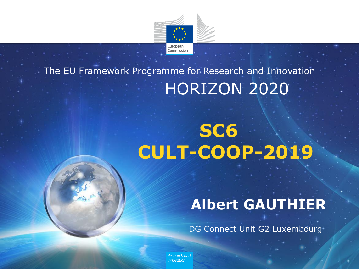

#### HORIZON 2020 The EU Framework Programme for Research and Innovation

# **SC6 CULT-COOP-2019**

### **Albert GAUTHIER**

DG Connect Unit G2 Luxembourg

Research and *Innovation*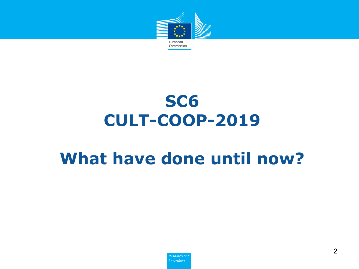

## **SC6 CULT-COOP-2019**

## **What have done until now?**

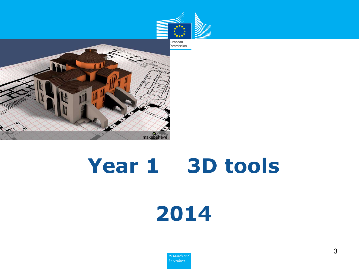



# **Year 1 3D tools**



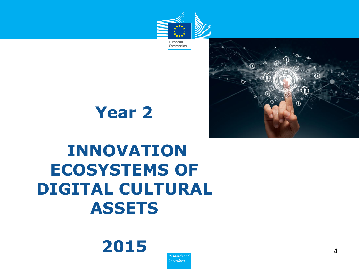



**Year 2** 

## **INNOVATION ECOSYSTEMS OF DIGITAL CULTURAL ASSETS**



Research and *Innovation*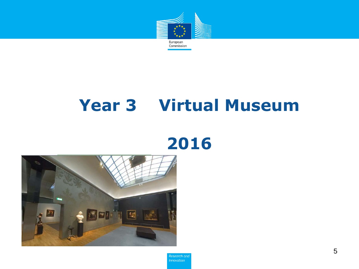

## **Year 3 Virtual Museum**

## 



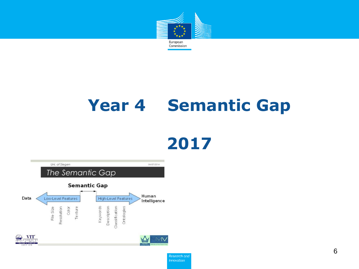

## **Year 4 Semantic Gap**



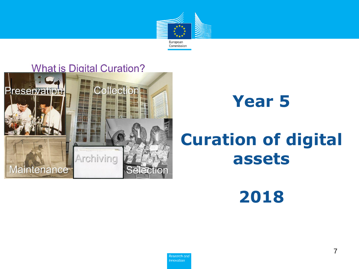



## **Year 5**

## **Curation of digital assets**

**2018**

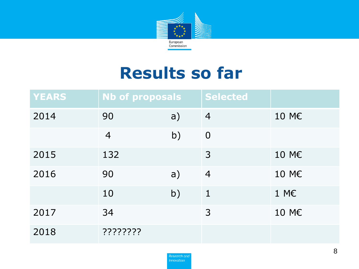

## **Results so far**

| <b>YEARS</b> | <b>Nb of proposals</b> |    | <b>Selected</b> |       |
|--------------|------------------------|----|-----------------|-------|
| 2014         | 90                     | a) | $\overline{4}$  | 10 M€ |
|              | $\overline{4}$         | b) | $\overline{0}$  |       |
| 2015         | 132                    |    | 3               | 10 M€ |
| 2016         | 90                     | a) | $\overline{4}$  | 10 M€ |
|              | 10                     | b) | $\mathbf{1}$    | 1 M€  |
| 2017         | 34                     |    | 3               | 10 M€ |
| 2018         | ????????               |    |                 |       |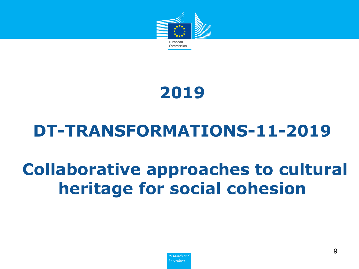

### **2019**

## **DT-TRANSFORMATIONS-11-2019**

## **Collaborative approaches to cultural heritage for social cohesion**

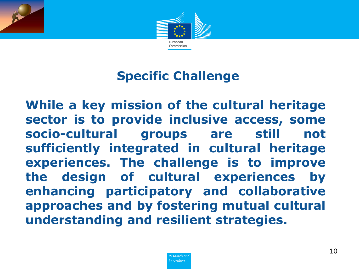

#### **Specific Challenge**

**While a key mission of the cultural heritage sector is to provide inclusive access, some socio-cultural groups are still not sufficiently integrated in cultural heritage experiences. The challenge is to improve the design of cultural experiences by enhancing participatory and collaborative approaches and by fostering mutual cultural understanding and resilient strategies.**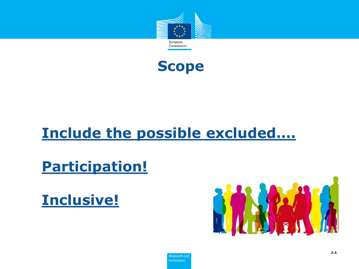



#### Include the possible excluded....

**Participation!** 

**Inclusive!** 

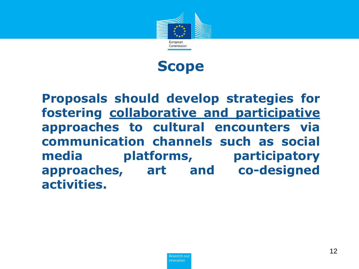



**Proposals should develop strategies for fostering collaborative and participative approaches to cultural encounters via communication channels such as social media platforms, participatory approaches, art and co-designed activities.**

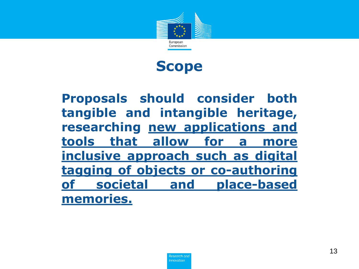



**Proposals should consider both tangible and intangible heritage, researching new applications and tools that allow for a more inclusive approach such as digital tagging of objects or co-authoring of societal and place-based memories.**

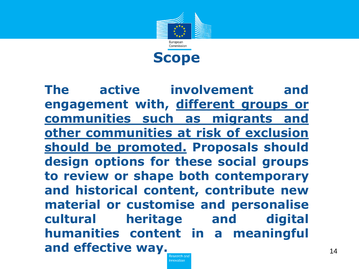

**The active involvement and engagement with, different groups or communities such as migrants and other communities at risk of exclusion should be promoted. Proposals should design options for these social groups to review or shape both contemporary and historical content, contribute new material or customise and personalise cultural heritage and digital humanities content in a meaningful and effective way.**

> Research and **Innovation**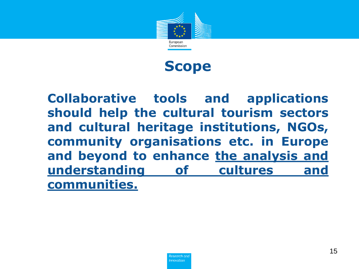



**Collaborative tools and applications should help the cultural tourism sectors and cultural heritage institutions, NGOs, community organisations etc. in Europe and beyond to enhance the analysis and understanding of cultures and communities.**

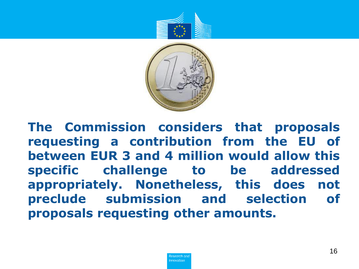



**The Commission considers that proposals requesting a contribution from the EU of between EUR 3 and 4 million would allow this specific challenge to be addressed appropriately. Nonetheless, this does not preclude submission and selection of proposals requesting other amounts.**

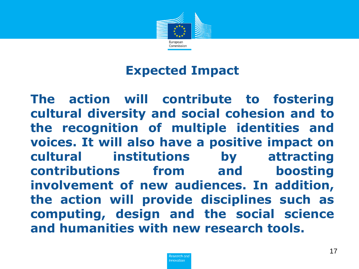

#### **Expected Impact**

**The action will contribute to fostering cultural diversity and social cohesion and to the recognition of multiple identities and voices. It will also have a positive impact on cultural institutions by attracting contributions from and boosting involvement of new audiences. In addition, the action will provide disciplines such as computing, design and the social science and humanities with new research tools.**

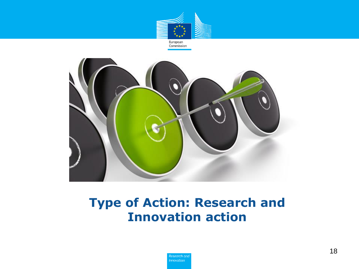



#### **Type of Action: Research and Innovation action**

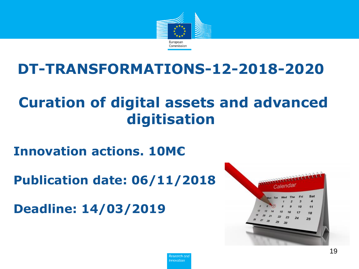

#### **DT-TRANSFORMATIONS-12-2018-2020**

#### **Curation of digital assets and advanced digitisation**

**Innovation actions. 10M€**

**Publication date: 06/11/2018**

**Deadline: 14/03/2019**



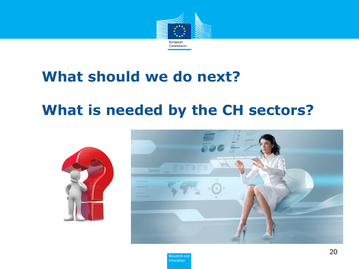

#### **What should we do next?**

#### **What is needed by the CH sectors?**





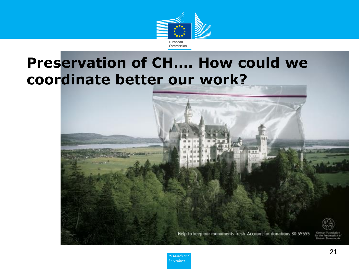

#### **Preservation of CH.... How could we** coordinate better our work?



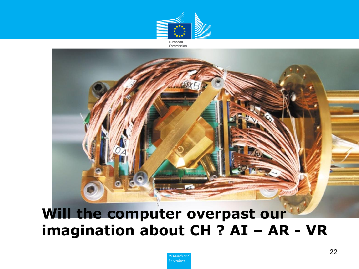

European Commission



#### Will the computer overpast our imagination about CH ? AI - AR - VR

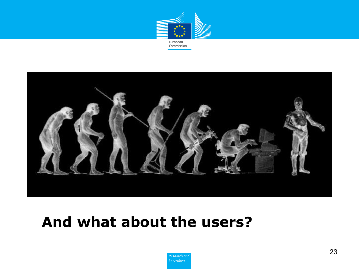



#### **And what about the users?**